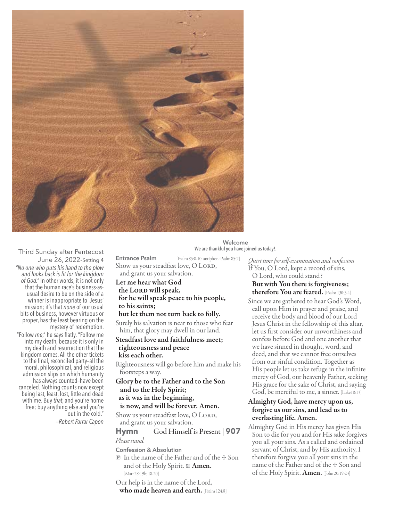

Third Sunday after Pentecost June 26, 2022-Setting 4 *"No one who puts his hand to the plow and looks back is fit for the kingdom of God."* In other words, it is not only that the human race's business-asusual desire to be on the side of a winner is inappropriate to Jesus' mission; it's that *none* of our usual bits of business, however virtuous or proper, has the least bearing on the mystery of redemption.

"Follow *me*," he says flatly. "Follow me into my death, because it is only in my death and resurrection that the kingdom comes. All the other tickets to the final, reconciled party–all the moral, philosophical, and religious admission slips on which humanity has always counted-have been canceled. Nothing counts now except being last, least, lost, little and dead with me. Buy *that*, and you're home free; buy anything else and you're out in the cold."

—*Robert Farrar Capon*

**Welcome We are thankful you have joined us today!.**

**Entrance Psalm** [Psalm 85:8-10; antiphon: Psalm 85:7] Show us your steadfast love, O LORD, and grant us your salvation.

Let me hear what God the LORD will speak, for he will speak peace to his people, to his saints;

## but let them not turn back to folly.

Surely his salvation is near to those who fear him, that glory may dwell in our land.

### Steadfast love and faithfulness meet; righteousness and peace kiss each other.

Righteousness will go before him and make his footsteps a way.

## Glory be to the Father and to the Son and to the Holy Spirit; as it was in the beginning,

#### is now, and will be forever. Amen.

Show us your steadfast love, O LORD, and grant us your salvation.

## **Hymn** God Himself is Present | **907** *Please stand.*

**Confession & Absolution**

 $\mathbb P$  In the name of the Father and of the  $+$  Son and of the Holy Spirit.  $\mathbf{M}$  **Amen.** [Matt 28:19b; 18-20]

Our help is in the name of the Lord,

who made heaven and earth. [Psalm 124:8]

*Quiet time for self-examination and confession* If You, O Lord, kept a record of sins, O Lord, who could stand? But with You there is forgiveness;

# therefore You are feared. [Psalm 130:3-4]

Since we are gathered to hear God's Word, call upon Him in prayer and praise, and receive the body and blood of our Lord Jesus Christ in the fellowship of this altar, let us first consider our unworthiness and confess before God and one another that we have sinned in thought, word, and deed, and that we cannot free ourselves from our sinful condition. Together as His people let us take refuge in the infinite mercy of God, our heavenly Father, seeking His grace for the sake of Christ, and saying God, be merciful to me, a sinner. [Luke18:13]

# Almighty God, have mercy upon us, forgive us our sins, and lead us to everlasting life. Amen.

Almighty God in His mercy has given His Son to die for you and for His sake forgives you all your sins. As a called and ordained servant of Christ, and by His authority, I therefore forgive you all your sins in the name of the Father and of the + Son and of the Holy Spirit. Amen. [John 20:19-23]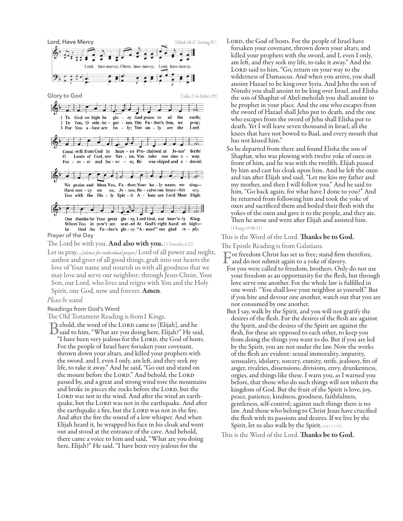

The Lord be with you. And also with you. [1 Timothy 4:22]

Let us pray…*[silence for individual prayer]* Lord of all power and might, author and giver of all good things, graft into our hearts the love of Your name and nourish us with all goodness that we may love and serve our neighbor; through Jesus Christ, Your Son, our Lord, who lives and reigns with You and the Holy Spirit, one God, now and forever. Amen.

#### *Please be seated.*

#### **Readings from God's Word**

The Old Testament Reading is from1 Kings.

Behold, the word of the LORD came to [Elijah], and he<br>Said to him, "What are you doing here, Elijah?" He said,<br>"I have been were italized for the LORD the God of here "I have been very jealous for the LORD, the God of hosts. For the people of Israel have forsaken your covenant, thrown down your altars, and killed your prophets with the sword, and I, even I only, am left, and they seek my life, to take it away." And he said, "Go out and stand on the mount before the LORD." And behold, the LORD passed by, and a great and strong wind tore the mountains and broke in pieces the rocks before the LORD, but the LORD was not in the wind. And after the wind an earthquake, but the LORD was not in the earthquake. And after the earthquake a fire, but the LORD was not in the fire. And after the fire the sound of a low whisper. And when Elijah heard it, he wrapped his face in his cloak and went out and stood at the entrance of the cave. And behold, there came a voice to him and said, "What are you doing here, Elijah?" He said, "I have been very jealous for the

LORD, the God of hosts. For the people of Israel have forsaken your covenant, thrown down your altars, and killed your prophets with the sword, and I, even I only, am left, and they seek my life, to take it away." And the LORD said to him, "Go, return on your way to the wilderness of Damascus. And when you arrive, you shall anoint Hazael to be king over Syria. And Jehu the son of Nimshi you shall anoint to be king over Israel, and Elisha the son of Shaphat of Abel-meholah you shall anoint to be prophet in your place. And the one who escapes from the sword of Hazael shall Jehu put to death, and the one who escapes from the sword of Jehu shall Elisha put to death. Yet I will leave seven thousand in Israel, all the knees that have not bowed to Baal, and every mouth that has not kissed him."

So he departed from there and found Elisha the son of Shaphat, who was plowing with twelve yoke of oxen in front of him, and he was with the twelfth. Elijah passed by him and cast his cloak upon him. And he left the oxen and ran after Elijah and said, "Let me kiss my father and my mother, and then I will follow you." And he said to him, "Go back again, for what have I done to you?" And he returned from following him and took the yoke of oxen and sacrificed them and boiled their flesh with the yokes of the oxen and gave it to the people, and they ate. Then he arose and went after Elijah and assisted him. [1 Kings 19:9b-21]

This is the Word of the Lord. **Thanks be to God.** 

The Epistle Reading is from Galatians.

- For freedom Christ has set us free; stand firm therefore, and do not submit again to a yoke of slavery.
- 
- For you were called to freedom, brothers. Only do not use your freedom as an opportunity for the flesh, but through love serve one another. For the whole law is fulfilled in one word: "You shall love your neighbor as yourself." But if you bite and devour one another, watch out that you are not consumed by one another.
- But I say, walk by the Spirit, and you will not gratify the desires of the flesh. For the desires of the flesh are against the Spirit, and the desires of the Spirit are against the flesh, for these are opposed to each other, to keep you from doing the things you want to do. But if you are led by the Spirit, you are not under the law. Now the works of the flesh are evident: sexual immorality, impurity, sensuality, idolatry, sorcery, enmity, strife, jealousy, fits of anger, rivalries, dissensions, divisions, envy, drunkenness, orgies, and things like these. I warn you, as I warned you before, that those who do such things will not inherit the kingdom of God. But the fruit of the Spirit is love, joy, peace, patience, kindness, goodness, faithfulness, gentleness, self-control; against such things there is no law. And those who belong to Christ Jesus have crucified the flesh with its passions and desires. If we live by the Spirit, let us also walk by the Spirit. [Gal 5:1, 13-25]

This is the Word of the Lord. **Thanks be to God.**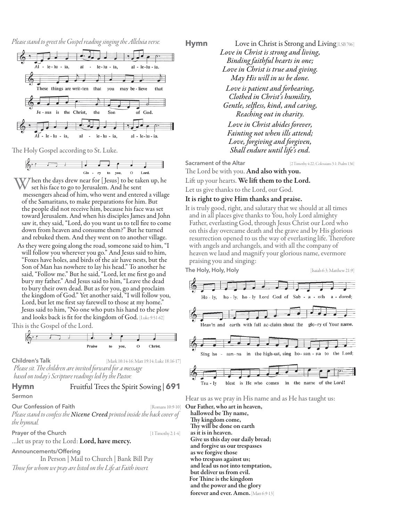*Please stand to greet the Gospel reading singing the Alleluia verse.*



The Holy Gospel according to St. Luke.



- Then the days drew near for [Jesus] to be taken up, he set his face to go to Jerusalem. And he sent messengers ahead of him, who went and entered a village of the Samaritans, to make preparations for him. But the people did not receive him, because his face was set toward Jerusalem. And when his disciples James and John saw it, they said, "Lord, do you want us to tell fire to come down from heaven and consume them?" But he turned and rebuked them. And they went on to another village.
- As they were going along the road, someone said to him, "I will follow you wherever you go." And Jesus said to him, "Foxes have holes, and birds of the air have nests, but the Son of Man has nowhere to lay his head." To another he said, "Follow me." But he said, "Lord, let me first go and bury my father." And Jesus said to him, "Leave the dead to bury their own dead. But as for you, go and proclaim the kingdom of God." Yet another said, "I will follow you, Lord, but let me first say farewell to those at my home." Jesus said to him, "No one who puts his hand to the plow and looks back is fit for the kingdom of God. [Luke 9:51-62]

This is the Gospel of the Lord.



**Children's Talk** [Mark 10:14-16; Matt 19:14; Luke 18:16-17]

*Please sit. The children are invited forward for a message based on today's Scripture readings led by the Pastor.*

# **Hymn** Fruitful Trees the Spirit Sowing | **691**

**Sermon**

#### **Our Confession of Faith** [Romans 10:9-10]

*Please stand to confess the Nicene Creed printed inside the back cover of the hymnal.*

**Prayer of the Church**  [1 Timothy 2:1-4]

... let us pray to the Lord: Lord, have mercy.

**Announcements/Offering**

In Person | Mail to Church | Bank Bill Pay *Those for whom we pray are listed on the Life at Faith insert.*

**Hymn** Love in Christ is Strong and Living [LSB 706] *Love in Christ is strong and living, Binding faithful hearts in one; Love in Christ is true and giving. May His will in us be done. Love is patient and forbearing, Clothed in Christ's humility, Gentle, selfless, kind, and caring, Reaching out in charity. Love in Christ abides forever, Fainting not when ills attend; Love, forgiving and forgiven, Shall endure until life's end.*

**Sacrament of the Altar** [2 Timothy 4:22; Colossians 3:1; Psalm 136]

The Lord be with you. And also with you.

Lift up your hearts. We lift them to the Lord.

Let us give thanks to the Lord, our God.

It is right to give Him thanks and praise.

It is truly good, right, and salutary that we should at all times and in all places give thanks to You, holy Lord almighty Father, everlasting God, through Jesus Christ our Lord who on this day overcame death and the grave and by His glorious resurrection opened to us the way of everlasting life. Therefore with angels and archangels, and with all the company of heaven we laud and magnify your glorious name, evermore praising you and singing:



Hear us as we pray in His name and as He has taught us:

Our Father, who art in heaven, hallowed be Thy name, Thy kingdom come, Thy will be done on earth as it is in heaven. Give us this day our daily bread; and forgive us our trespasses as we forgive those who trespass against us; and lead us not into temptation, but deliver us from evil. For Thine is the kingdom and the power and the glory forever and ever. Amen. [Matt 6:9-13]